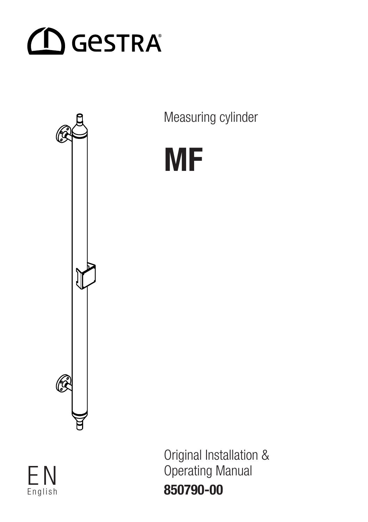



Measuring cylinder



Datum/Date Name/Name English

Nr./No Änderung/Modification Datum Geänd. Konstr. Prüfer M-Nr. Prod. 850790-00Original Installation & F N Operating Manual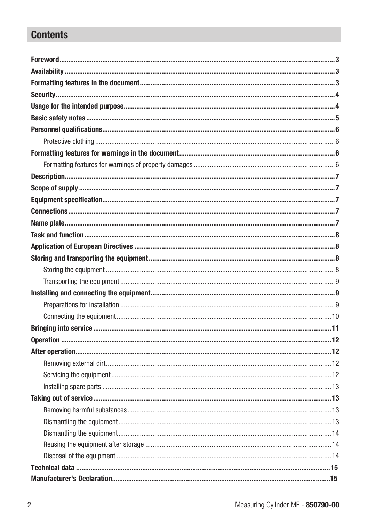### **Contents**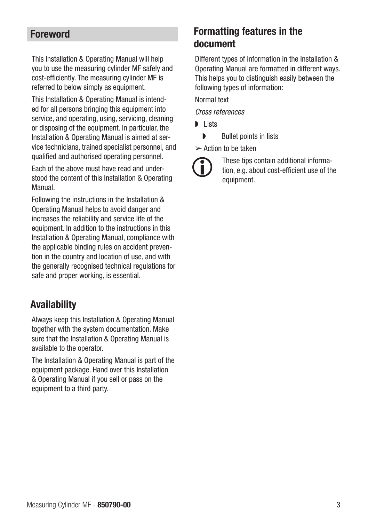#### <span id="page-2-0"></span>Foreword

This Installation & Operating Manual will help you to use the measuring cylinder MF safely and cost-efficiently. The measuring cylinder MF is referred to below simply as equipment.

This Installation & Operating Manual is intended for all persons bringing this equipment into service, and operating, using, servicing, cleaning or disposing of the equipment. In particular, the Installation & Operating Manual is aimed at service technicians, trained specialist personnel, and qualified and authorised operating personnel.

Each of the above must have read and understood the content of this Installation & Operating Manual.

Following the instructions in the Installation & Operating Manual helps to avoid danger and increases the reliability and service life of the equipment. In addition to the instructions in this Installation & Operating Manual, compliance with the applicable binding rules on accident prevention in the country and location of use, and with the generally recognised technical regulations for safe and proper working, is essential.

#### Availability

Always keep this Installation & Operating Manual together with the system documentation. Make sure that the Installation & Operating Manual is available to the operator.

The Installation & Operating Manual is part of the equipment package. Hand over this Installation & Operating Manual if you sell or pass on the equipment to a third party.

#### Formatting features in the document

Different types of information in the Installation & Operating Manual are formatted in different ways. This helps you to distinguish easily between the following types of information:

Normal text

Cross references

- ◗ Lists
	- ◗ Bullet points in lists

 $\geq$  Action to be taken

These tips contain additional information, e.g. about cost-efficient use of the equipment.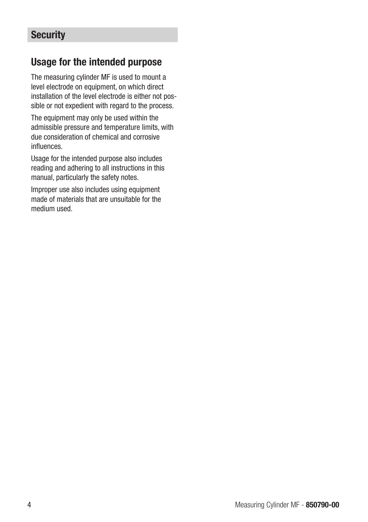#### <span id="page-3-0"></span>**Security**

#### Usage for the intended purpose

The measuring cylinder MF is used to mount a level electrode on equipment, on which direct installation of the level electrode is either not possible or not expedient with regard to the process.

The equipment may only be used within the admissible pressure and temperature limits, with due consideration of chemical and corrosive influences.

Usage for the intended purpose also includes reading and adhering to all instructions in this manual, particularly the safety notes.

Improper use also includes using equipment made of materials that are unsuitable for the medium used.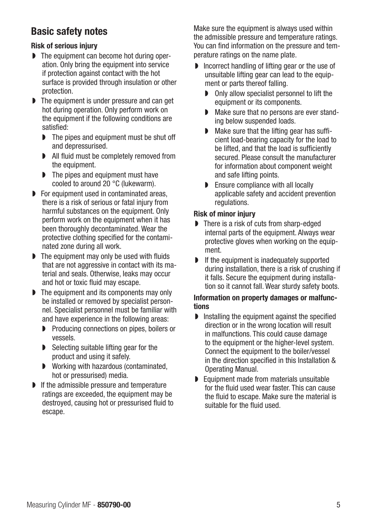#### <span id="page-4-0"></span>Basic safety notes

#### Risk of serious injury

- ◗ The equipment can become hot during operation. Only bring the equipment into service if protection against contact with the hot surface is provided through insulation or other protection.
- ◗ The equipment is under pressure and can get hot during operation. Only perform work on the equipment if the following conditions are satisfied:
	- ◗ The pipes and equipment must be shut off and depressurised.
	- ◗ All fluid must be completely removed from the equipment.
	- **▶** The pipes and equipment must have cooled to around 20 °C (lukewarm).
- ◗ For equipment used in contaminated areas, there is a risk of serious or fatal injury from harmful substances on the equipment. Only perform work on the equipment when it has been thoroughly decontaminated. Wear the protective clothing specified for the contaminated zone during all work.
- ◗ The equipment may only be used with fluids that are not aggressive in contact with its material and seals. Otherwise, leaks may occur and hot or toxic fluid may escape.
- ◗ The equipment and its components may only be installed or removed by specialist personnel. Specialist personnel must be familiar with and have experience in the following areas:
	- ◗ Producing connections on pipes, boilers or vessels.
	- Selecting suitable lifting gear for the product and using it safely.
	- ◗ Working with hazardous (contaminated, hot or pressurised) media.
- ◗ If the admissible pressure and temperature ratings are exceeded, the equipment may be destroyed, causing hot or pressurised fluid to escape.

Make sure the equipment is always used within the admissible pressure and temperature ratings. You can find information on the pressure and temperature ratings on the name plate.

- ◗ Incorrect handling of lifting gear or the use of unsuitable lifting gear can lead to the equipment or parts thereof falling.
	- ◗ Only allow specialist personnel to lift the equipment or its components.
	- Make sure that no persons are ever standing below suspended loads.
	- Make sure that the lifting gear has sufficient load-bearing capacity for the load to be lifted, and that the load is sufficiently secured. Please consult the manufacturer for information about component weight and safe lifting points.
	- ◗ Ensure compliance with all locally applicable safety and accident prevention regulations.

#### Risk of minor injury

- ◗ There is a risk of cuts from sharp-edged internal parts of the equipment. Always wear protective gloves when working on the equipment.
- ◗ If the equipment is inadequately supported during installation, there is a risk of crushing if it falls. Secure the equipment during installation so it cannot fall. Wear sturdy safety boots.

#### Information on property damages or malfunctions

- ◗ Installing the equipment against the specified direction or in the wrong location will result in malfunctions. This could cause damage to the equipment or the higher-level system. Connect the equipment to the boiler/vessel in the direction specified in this Installation & Operating Manual.
- ◗ Equipment made from materials unsuitable for the fluid used wear faster. This can cause the fluid to escape. Make sure the material is suitable for the fluid used.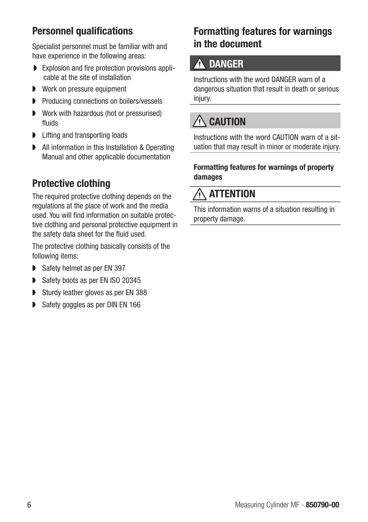#### <span id="page-5-0"></span>Personnel qualifications

Specialist personnel must be familiar with and have experience in the following areas:

- ◗ Explosion and fire protection provisions applicable at the site of installation
- ◗ Work on pressure equipment
- ◗ Producing connections on boilers/vessels
- ◗ Work with hazardous (hot or pressurised) fluids
- ◗ Lifting and transporting loads
- All information in this Installation & Operating Manual and other applicable documentation

## Protective clothing

The required protective clothing depends on the regulations at the place of work and the media used. You will find information on suitable protective clothing and personal protective equipment in the safety data sheet for the fluid used.

The protective clothing basically consists of the following items:

- Safety helmet as per EN 397
- Safety boots as per EN ISO 20345
- Sturdy leather gloves as per EN 388
- Safety goggles as per DIN EN 166

## Formatting features for warnings in the document

# **A DANGER**

Instructions with the word DANGER warn of a dangerous situation that result in death or serious injury.

# $\triangle$  CAUTION

Instructions with the word CAUTION warn of a situation that may result in minor or moderate injury.

#### Formatting features for warnings of property damages

# $\wedge$  attention

This information warns of a situation resulting in property damage.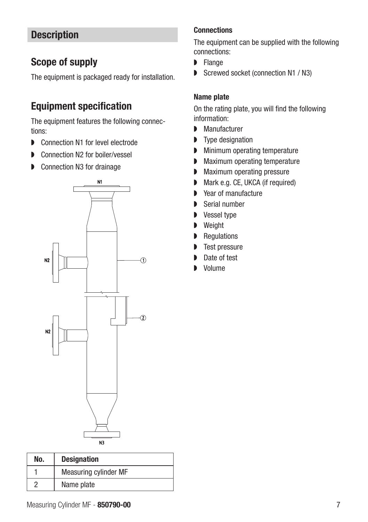#### <span id="page-6-0"></span>**Description**

#### Scope of supply

The equipment is packaged ready for installation.

#### Equipment specification

The equipment features the following connections:

- Connection N1 for level electrode
- ◗ Connection N2 for boiler/vessel
- ◗ Connection N3 for drainage



| No. | <b>Designation</b>    |
|-----|-----------------------|
|     | Measuring cylinder MF |
| റ   | Name plate            |

#### **Connections**

The equipment can be supplied with the following connections:

- ◗ Flange
- Screwed socket (connection N1 / N3)

#### Name plate

On the rating plate, you will find the following information:

- ◗ Manufacturer
- ◗ Type designation
- ◗ Minimum operating temperature
- ◗ Maximum operating temperature
- ◗ Maximum operating pressure
- Mark e.g. CE, UKCA (if required)
- Year of manufacture
- ◗ Serial number
- ◗ Vessel type
- Weight
- Regulations
- ◗ Test pressure
- Date of test
- ◗ Volume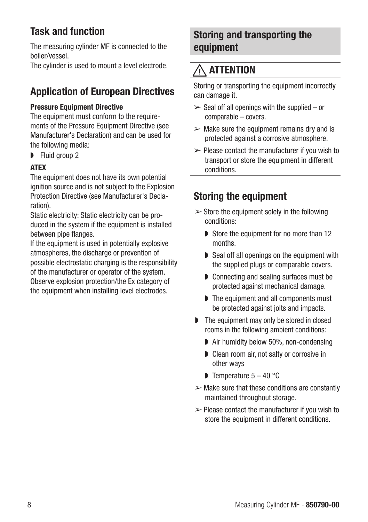## <span id="page-7-0"></span>Task and function

The measuring cylinder MF is connected to the boiler/vessel.

The cylinder is used to mount a level electrode.

## Application of European Directives

#### Pressure Equipment Directive

The equipment must conform to the requirements of the Pressure Equipment Directive (see Manufacturer's Declaration) and can be used for the following media:

■ Fluid group 2

#### **ATFX**

The equipment does not have its own potential ignition source and is not subject to the Explosion Protection Directive (see Manufacturer's Declaration).

Static electricity: Static electricity can be produced in the system if the equipment is installed between pipe flanges.

If the equipment is used in potentially explosive atmospheres, the discharge or prevention of possible electrostatic charging is the responsibility of the manufacturer or operator of the system. Observe explosion protection/the Ex category of the equipment when installing level electrodes.

#### Storing and transporting the equipment

# $\wedge$  attention

Storing or transporting the equipment incorrectly can damage it.

- $\ge$  Seal off all openings with the supplied or comparable – covers.
- $\triangleright$  Make sure the equipment remains dry and is protected against a corrosive atmosphere.
- $\geq$  Please contact the manufacturer if you wish to transport or store the equipment in different conditions.

## Storing the equipment

- $\geq$  Store the equipment solely in the following conditions:
	- Store the equipment for no more than 12 months.
	- ◗ Seal off all openings on the equipment with the supplied plugs or comparable covers.
	- ◗ Connecting and sealing surfaces must be protected against mechanical damage.
	- ◗ The equipment and all components must be protected against jolts and impacts.
- ◗ The equipment may only be stored in closed rooms in the following ambient conditions:
	- Air humidity below 50%, non-condensing
	- ◗ Clean room air, not salty or corrosive in other ways
	- $\triangleright$  Temperature  $5 40$  °C
- $\triangleright$  Make sure that these conditions are constantly maintained throughout storage.
- $\geq$  Please contact the manufacturer if you wish to store the equipment in different conditions.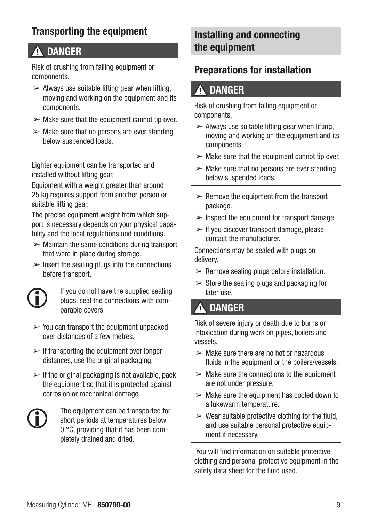#### <span id="page-8-0"></span>Transporting the equipment

# **A DANGER**

Risk of crushing from falling equipment or components.

- $\triangleright$  Always use suitable lifting gear when lifting, moving and working on the equipment and its components.
- $\triangleright$  Make sure that the equipment cannot tip over.
- $\triangleright$  Make sure that no persons are ever standing below suspended loads.

Lighter equipment can be transported and installed without lifting gear.

Equipment with a weight greater than around 25 kg requires support from another person or suitable lifting gear.

The precise equipment weight from which support is necessary depends on your physical capability and the local regulations and conditions.

- $\triangleright$  Maintain the same conditions during transport that were in place during storage.
- $\triangleright$  Insert the sealing plugs into the connections before transport.



If you do not have the supplied sealing plugs, seal the connections with comparable covers.

- $\geq$  You can transport the equipment unpacked over distances of a few metres.
- $\triangleright$  If transporting the equipment over longer distances, use the original packaging.
- $\triangleright$  If the original packaging is not available, pack the equipment so that it is protected against corrosion or mechanical damage.



The equipment can be transported for short periods at temperatures below 0 °C, providing that it has been completely drained and dried.

#### Installing and connecting the equipment

#### Preparations for installation

#### **DANGER**

Risk of crushing from falling equipment or components.

- $\geq$  Always use suitable lifting gear when lifting, moving and working on the equipment and its components.
- $\triangleright$  Make sure that the equipment cannot tip over.
- $\triangleright$  Make sure that no persons are ever standing below suspended loads.
- $\geq$  Remove the equipment from the transport package.
- $\triangleright$  Inspect the equipment for transport damage.
- $>$  If you discover transport damage, please contact the manufacturer.

Connections may be sealed with plugs on delivery.

- $\triangleright$  Remove sealing plugs before installation.
- $\geq$  Store the sealing plugs and packaging for later use.

## **A DANGER**

Risk of severe injury or death due to burns or intoxication during work on pipes, boilers and vessels.

- $\triangleright$  Make sure there are no hot or hazardous fluids in the equipment or the boilers/vessels.
- $\geq$  Make sure the connections to the equipment are not under pressure.
- $\triangleright$  Make sure the equipment has cooled down to a lukewarm temperature.
- $\triangleright$  Wear suitable protective clothing for the fluid. and use suitable personal protective equipment if necessary.

 You will find information on suitable protective clothing and personal protective equipment in the safety data sheet for the fluid used.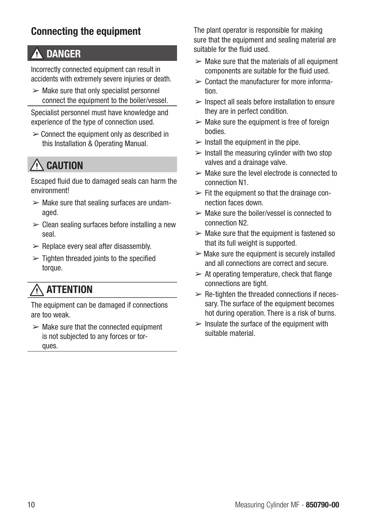#### <span id="page-9-0"></span>Connecting the equipment

# DANGER

Incorrectly connected equipment can result in accidents with extremely severe injuries or death.

 $\triangleright$  Make sure that only specialist personnel connect the equipment to the boiler/vessel.

Specialist personnel must have knowledge and experience of the type of connection used.

 $\geq$  Connect the equipment only as described in this Installation & Operating Manual.

# $\wedge$  caution

Escaped fluid due to damaged seals can harm the environment!

- $\triangleright$  Make sure that sealing surfaces are undamaged.
- $\geq$  Clean sealing surfaces before installing a new seal.
- $\triangleright$  Replace every seal after disassembly.
- $\geq$  Tighten threaded joints to the specified torque.

# **ATTENTION**

The equipment can be damaged if connections are too weak.

 $\geq$  Make sure that the connected equipment is not subjected to any forces or torques.

The plant operator is responsible for making sure that the equipment and sealing material are suitable for the fluid used.

- $\triangleright$  Make sure that the materials of all equipment components are suitable for the fluid used.
- $\geq$  Contact the manufacturer for more information.
- $\ge$  Inspect all seals before installation to ensure they are in perfect condition.
- $\triangleright$  Make sure the equipment is free of foreign bodies.
- $\geq$  Install the equipment in the pipe.
- $\triangleright$  Install the measuring cylinder with two stop valves and a drainage valve.
- $\triangleright$  Make sure the level electrode is connected to connection N1.
- $\triangleright$  Fit the equipment so that the drainage connection faces down.
- $\triangleright$  Make sure the boiler/vessel is connected to connection N2.
- $\geq$  Make sure that the equipment is fastened so that its full weight is supported.
- $\triangleright$  Make sure the equipment is securely installed and all connections are correct and secure.
- $\geq$  At operating temperature, check that flange connections are tight.
- $\triangleright$  Re-tighten the threaded connections if necessary. The surface of the equipment becomes hot during operation. There is a risk of burns.
- $\triangleright$  Insulate the surface of the equipment with suitable material.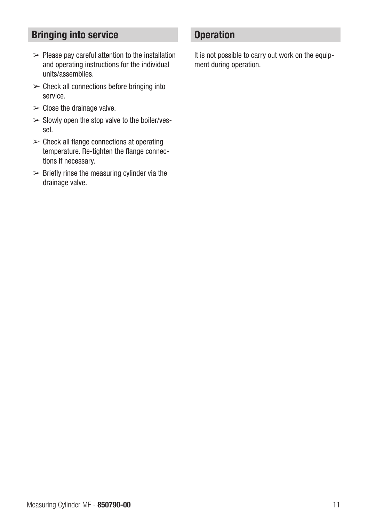#### <span id="page-10-0"></span>Bringing into service

- $\triangleright$  Please pay careful attention to the installation and operating instructions for the individual units/assemblies.
- $\triangleright$  Check all connections before bringing into service.
- $\geq$  Close the drainage valve.
- $\geq$  Slowly open the stop valve to the boiler/vessel.
- $\triangleright$  Check all flange connections at operating temperature. Re-tighten the flange connections if necessary.
- $\geq$  Briefly rinse the measuring cylinder via the drainage valve.

#### **Operation**

It is not possible to carry out work on the equipment during operation.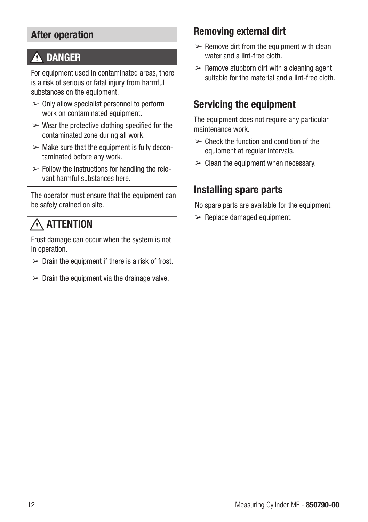#### <span id="page-11-0"></span>After operation

## **A DANGER**

For equipment used in contaminated areas, there is a risk of serious or fatal injury from harmful substances on the equipment.

- $\geq 0$ nly allow specialist personnel to perform work on contaminated equipment.
- $\triangleright$  Wear the protective clothing specified for the contaminated zone during all work.
- $\geq$  Make sure that the equipment is fully decontaminated before any work.
- $\triangleright$  Follow the instructions for handling the relevant harmful substances here.

The operator must ensure that the equipment can be safely drained on site.

# **ATTENTION**

Frost damage can occur when the system is not in operation.

- $\triangleright$  Drain the equipment if there is a risk of frost.
- $\geq$  Drain the equipment via the drainage valve.

#### Removing external dirt

- $\geq$  Remove dirt from the equipment with clean water and a lint-free cloth.
- $\triangleright$  Remove stubborn dirt with a cleaning agent suitable for the material and a lint-free cloth.

#### Servicing the equipment

The equipment does not require any particular maintenance work.

- $\geq$  Check the function and condition of the equipment at reqular intervals.
- $\geq$  Clean the equipment when necessary.

#### Installing spare parts

No spare parts are available for the equipment.

 $\triangleright$  Replace damaged equipment.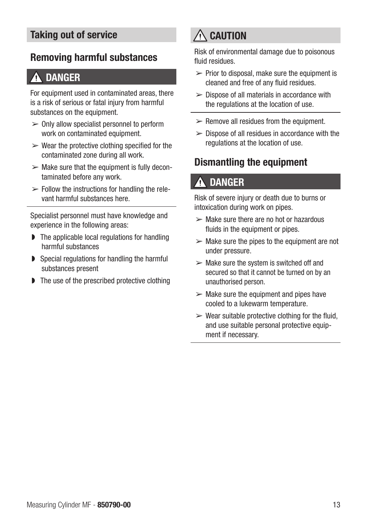#### <span id="page-12-0"></span>Taking out of service

#### Removing harmful substances

#### DANGER

For equipment used in contaminated areas, there is a risk of serious or fatal injury from harmful substances on the equipment.

- $\geq 0$ nly allow specialist personnel to perform work on contaminated equipment.
- $\triangleright$  Wear the protective clothing specified for the contaminated zone during all work.
- $\triangleright$  Make sure that the equipment is fully decontaminated before any work.
- $\triangleright$  Follow the instructions for handling the relevant harmful substances here.

Specialist personnel must have knowledge and experience in the following areas:

- ◗ The applicable local regulations for handling harmful substances
- ◗ Special regulations for handling the harmful substances present
- ◗ The use of the prescribed protective clothing

# $\bigwedge$  caution

Risk of environmental damage due to poisonous fluid residues.

- $\triangleright$  Prior to disposal, make sure the equipment is cleaned and free of any fluid residues.
- $\geq$  Dispose of all materials in accordance with the regulations at the location of use.
- $\triangleright$  Remove all residues from the equipment.
- $\geq$  Dispose of all residues in accordance with the regulations at the location of use.

#### Dismantling the equipment

## **DANGER**

Risk of severe injury or death due to burns or intoxication during work on pipes.

- $\geq$  Make sure there are no hot or hazardous fluids in the equipment or pipes.
- $\triangleright$  Make sure the pipes to the equipment are not under pressure.
- $\geq$  Make sure the system is switched off and secured so that it cannot be turned on by an unauthorised person.
- $\triangleright$  Make sure the equipment and pipes have cooled to a lukewarm temperature.
- $\triangleright$  Wear suitable protective clothing for the fluid. and use suitable personal protective equipment if necessary.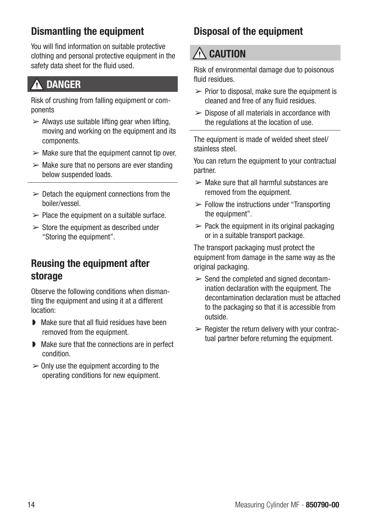#### <span id="page-13-0"></span>Dismantling the equipment

You will find information on suitable protective clothing and personal protective equipment in the safety data sheet for the fluid used.

## DANGER

Risk of crushing from falling equipment or components

- $\geq$  Always use suitable lifting gear when lifting. moving and working on the equipment and its components.
- $\triangleright$  Make sure that the equipment cannot tip over.
- $\triangleright$  Make sure that no persons are ever standing below suspended loads.
- $\geq$  Detach the equipment connections from the boiler/vessel.
- $\geq$  Place the equipment on a suitable surface.
- $\geq$  Store the equipment as described under "Storing the equipment".

#### Reusing the equipment after storage

Observe the following conditions when dismantling the equipment and using it at a different location:

- ◗ Make sure that all fluid residues have been removed from the equipment.
- ◗ Make sure that the connections are in perfect condition.
- $\geq 0$ nly use the equipment according to the operating conditions for new equipment.

# Disposal of the equipment

# $\bigwedge$  caution

Risk of environmental damage due to poisonous fluid residues.

- $\triangleright$  Prior to disposal, make sure the equipment is cleaned and free of any fluid residues.
- $\geq$  Dispose of all materials in accordance with the regulations at the location of use.

The equipment is made of welded sheet steel/ stainless steel.

You can return the equipment to your contractual partner.

- $\geq$  Make sure that all harmful substances are removed from the equipment.
- $\triangleright$  Follow the instructions under "Transporting" the equipment".
- $\geq$  Pack the equipment in its original packaging or in a suitable transport package.

The transport packaging must protect the equipment from damage in the same way as the original packaging.

- $\ge$  Send the completed and signed decontamination declaration with the equipment. The decontamination declaration must be attached to the packaging so that it is accessible from outside.
- $\triangleright$  Register the return delivery with your contractual partner before returning the equipment.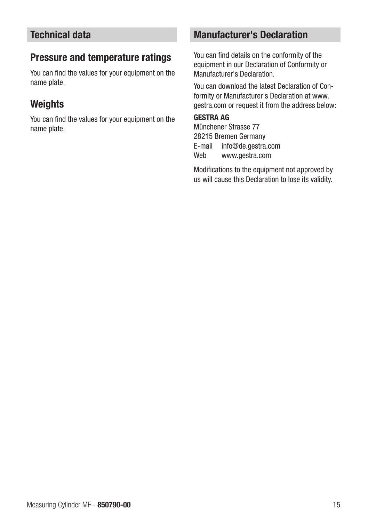#### <span id="page-14-0"></span>Technical data

#### Pressure and temperature ratings

You can find the values for your equipment on the name plate.

#### **Weights**

You can find the values for your equipment on the name plate.

#### Manufacturer's Declaration

You can find details on the conformity of the equipment in our Declaration of Conformity or Manufacturer's Declaration.

You can download the latest Declaration of Conformity or Manufacturer's Declaration at www. gestra.com or request it from the address below:

#### GESTRA AG

Münchener Strasse 77 28215 Bremen Germany E-mail info@de.gestra.com Web www.gestra.com

Modifications to the equipment not approved by us will cause this Declaration to lose its validity.